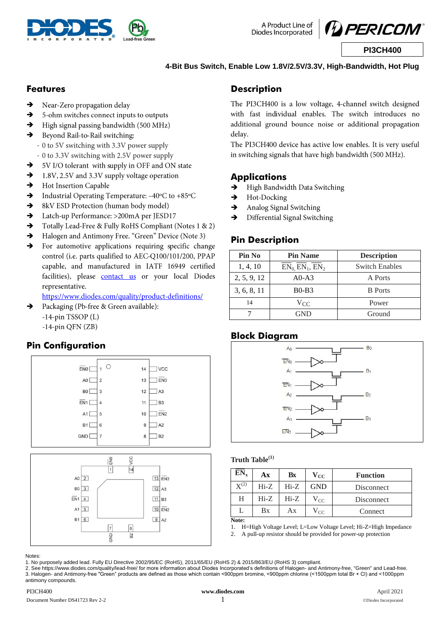

A Product Line of Diodes Incorporated



## **4-Bit Bus Switch, Enable Low 1.8V/2.5V/3.3V, High-Bandwidth, Hot Plug**

## **Features**

- $\rightarrow$ Near-Zero propagation delay
- $\rightarrow$ 5-ohm switches connect inputs to outputs
- $\rightarrow$ High signal passing bandwidth (500 MHz)
- $\rightarrow$ Beyond Rail-to-Rail switching:
	- 0 to 5V switching with 3.3V power supply
- 0 to 3.3V switching with 2.5V power supply
- $\rightarrow$ 5V I/O tolerant with supply in OFF and ON state
- → 1.8V, 2.5V and 3.3V supply voltage operation
- $\rightarrow$ Hot Insertion Capable
- $\rightarrow$ Industrial Operating Temperature: -40°C to +85°C
- $\rightarrow$ 8kV ESD Protection (human body model)
- $\rightarrow$ Latch-up Performance: >200mA per JESD17
- $\rightarrow$ Totally Lead-Free & Fully RoHS Compliant (Notes 1 & 2)
- $\rightarrow$ Halogen and Antimony Free. "Green" Device (Note 3)
- $\rightarrow$ For automotive applications requiring specific change control (i.e. parts qualified to AEC-Q100/101/200, PPAP capable, and manufactured in IATF 16949 certified facilities), please **contact us** or your local Diodes representative.

https://www.diodes.com/quality/product-definitions/

Packaging (Pb-free & Green available):  $\rightarrow$  $-14$ -pin TSSOP $(L)$ 

# $-14$ -pin QFN (ZB)

## **Pin Configuration**



 $\boxed{7}$ 

GMD

 $\boxed{8}$ B<sub>2</sub>

# **Description**

The PI3CH400 is a low voltage, 4-channel switch designed with fast individual enables. The switch introduces no additional ground bounce noise or additional propagation delay.

The PI3CH400 device has active low enables. It is very useful in switching signals that have high bandwidth (500 MHz).

## **Applications**

- $\rightarrow$ High Bandwidth Data Switching
- $\rightarrow$ Hot-Docking
- $\rightarrow$ Analog Signal Switching
- $\rightarrow$ Differential Signal Switching

## **Pin Description**

| Pin No      | <b>Pin Name</b>          | <b>Description</b>    |
|-------------|--------------------------|-----------------------|
| 1, 4, 10    | $EN_0$ , $EN_1$ , $EN_2$ | <b>Switch Enables</b> |
| 2, 5, 9, 12 | $A0-A3$                  | A Ports               |
| 3, 6, 8, 11 | $B0-B3$                  | <b>B</b> Ports        |
| 14          | $V_{CC}$                 | Power                 |
|             | GND                      | Ground                |

# **Block Diagram**



### **Truth Table(1)**

|              | Ax     | $\mathbf{B}$ x | ${\bf v_{cc}}$ | <b>Function</b> |
|--------------|--------|----------------|----------------|-----------------|
| $\chi^{(2)}$ | $Hi-Z$ | $Hi-Z$         | <b>GND</b>     | Disconnect      |
| H            | $Hi-Z$ | $Hi-Z$         | $V_{CC}$       | Disconnect      |
|              | Bx     | Аx             | $V_{CC}$       | Connect         |
| Note:        |        |                |                |                 |

1. H=High Voltage Level; L=Low Voltage Level; Hi-Z=High Impedance

2. A pull-up resistor should be provided for power-up protection

#### Notes:

1. No purposely added lead. Fully EU Directive 2002/95/EC (RoHS), 2011/65/EU (RoHS 2) & 2015/863/EU (RoHS 3) compliant.

 $10$  EN<sub>2</sub>

 $\boxed{9}$  $A2$ 

2. Se[e https://www.diodes.com/quality/lead-free/](https://www.diodes.com/quality/lead-free/) for more information about Diodes Incorporated's definitions of Halogen- and Antimony-free, "Green" and Lead-free. 3. Halogen- and Antimony-free "Green" products are defined as those which contain <900ppm bromine, <900ppm chlorine (<1500ppm total Br + Cl) and <1000ppm antimony compounds.

 $A1$  5  $B1$  6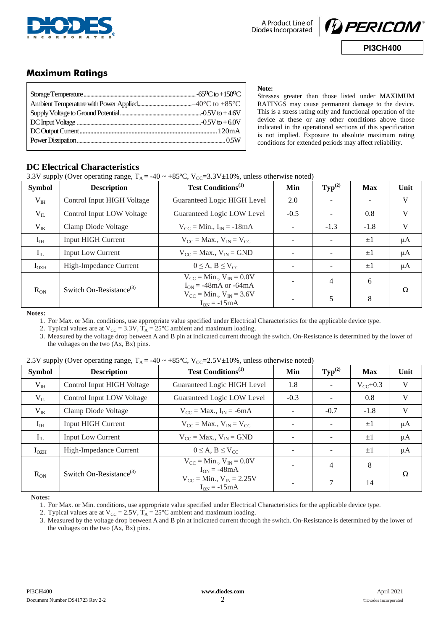



## **Maximum Ratings**

**Note:** Stresses greater than those listed under MAXIMUM

RATINGS may cause permanent damage to the device. This is a stress rating only and functional operation of the device at these or any other conditions above those indicated in the operational sections of this specification is not implied. Exposure to absolute maximum rating conditions for extended periods may affect reliability.

## **DC Electrical Characteristics**

3.3V supply (Over operating range,  $T_A = -40 \sim +85 \text{°C}$ ,  $V_{CC} = 3.3 \text{V} \pm 10\%$ , unless otherwise noted)

| <b>Symbol</b>         | <b>Description</b>                  | <b>Test Conditions</b> <sup>(1)</sup>                                         | Min                      | $\text{Typ}^{(2)}$ | <b>Max</b> | Unit         |
|-----------------------|-------------------------------------|-------------------------------------------------------------------------------|--------------------------|--------------------|------------|--------------|
| $V_{III}$             | Control Input HIGH Voltage          | Guaranteed Logic HIGH Level                                                   | 2.0                      |                    |            | V            |
| $V_{IL}$              | Control Input LOW Voltage           | Guaranteed Logic LOW Level                                                    | $-0.5$                   |                    | 0.8        | V            |
| $V_{IK}$              | Clamp Diode Voltage                 | $V_{CC}$ = Min., $I_{IN}$ = -18mA                                             |                          | $-1.3$             | $-1.8$     | $\mathbf{V}$ |
| $\mathbf{I}_{\rm IH}$ | <b>Input HIGH Current</b>           | $V_{CC}$ = Max., $V_{IN}$ = $V_{CC}$                                          | $\overline{\phantom{0}}$ |                    | $+1$       | $\mu A$      |
| $I_{IL}$              | Input Low Current                   | $V_{CC}$ = Max., $V_{IN}$ = GND                                               | $\overline{\phantom{a}}$ |                    | $\pm 1$    | $\mu A$      |
| $I_{OZH}$             | High-Impedance Current              | $0 \leq A, B \leq V_{CC}$                                                     | $\overline{\phantom{0}}$ |                    | $\pm 1$    | $\mu A$      |
| $R_{ON}$              | Switch On-Resistance <sup>(3)</sup> | $V_{CC} = Min., V_{IN} = 0.0V$<br>$I_{ON} = -48 \text{mA}$ or $-64 \text{mA}$ |                          | 4                  | 6          | Ω            |
|                       |                                     | $V_{CC} = Min., V_{IN} = 3.6V$<br>$I_{ON} = -15mA$                            |                          | 5                  | 8          |              |

**Notes:**

1. For Max. or Min. conditions, use appropriate value specified under Electrical Characteristics for the applicable device type.

2. Typical values are at  $V_{CC} = 3.3V$ ,  $T_A = 25^{\circ}C$  ambient and maximum loading.

3. Measured by the voltage drop between A and B pin at indicated current through the switch. On-Resistance is determined by the lower of the voltages on the two (Ax, Bx) pins.

| 2.5V supply (Over operating range, $T_A = -40 \sim +85 \text{°C}$ , $V_{\text{CC}} = 2.5 V \pm 10\%$ , unless otherwise noted) |  |
|--------------------------------------------------------------------------------------------------------------------------------|--|
|--------------------------------------------------------------------------------------------------------------------------------|--|

| <b>Symbol</b> | <b>Description</b>                  | <b>Test Conditions</b> <sup>(1)</sup>                 | Min                      | $\text{Typ}^{(2)}$ | Max           | Unit    |
|---------------|-------------------------------------|-------------------------------------------------------|--------------------------|--------------------|---------------|---------|
| $V_{III}$     | Control Input HIGH Voltage          | Guaranteed Logic HIGH Level                           | 1.8                      |                    | $V_{CC}$ +0.3 | V       |
| $V_{IL}$      | Control Input LOW Voltage           | Guaranteed Logic LOW Level                            | $-0.3$                   |                    | 0.8           | V       |
| $V_{IK}$      | Clamp Diode Voltage                 | $V_{CC}$ = Max., $I_{IN}$ = -6mA                      | $\overline{\phantom{a}}$ | $-0.7$             | $-1.8$        | V       |
| $I_{\rm IH}$  | <b>Input HIGH Current</b>           | $V_{CC}$ = Max., $V_{IN}$ = $V_{CC}$                  | $\overline{\phantom{0}}$ |                    | $+1$          | $\mu A$ |
| $I_{IL}$      | Input Low Current                   | $V_{CC}$ = Max., $V_{IN}$ = GND                       | ÷                        |                    | $\pm 1$       | $\mu A$ |
| $I_{OZH}$     | High-Impedance Current              | $0 \leq A, B \leq V_{CC}$                             |                          |                    | $+1$          | $\mu A$ |
| $R_{ON}$      | Switch On-Resistance <sup>(3)</sup> | $V_{CC} = Min., V_{IN} = 0.0V$<br>$I_{ON} = -48mA$    |                          | $\overline{4}$     | 8             | Ω       |
|               |                                     | $V_{CC}$ = Min., $V_{IN}$ = 2.25V<br>$I_{ON} = -15mA$ |                          | 7                  | 14            |         |

**Notes:**

1. For Max. or Min. conditions, use appropriate value specified under Electrical Characteristics for the applicable device type.

2. Typical values are at  $V_{CC} = 2.5V$ ,  $T_A = 25^{\circ}C$  ambient and maximum loading.

3. Measured by the voltage drop between A and B pin at indicated current through the switch. On-Resistance is determined by the lower of the voltages on the two (Ax, Bx) pins.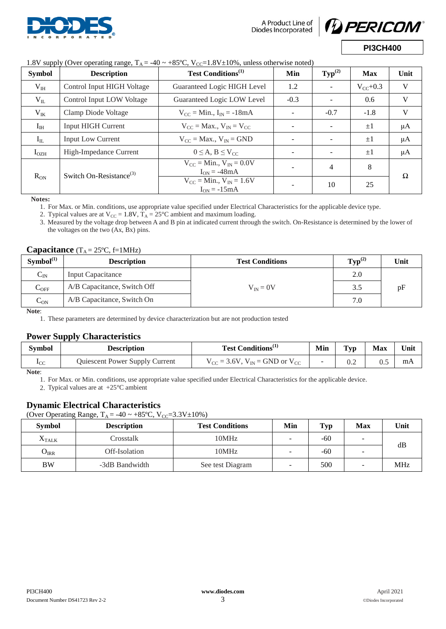

A Product Line of Diodes Incorporated



**PI3CH400**

| <b>Symbol</b>    | <b>Description</b>                  | <b>Test Conditions</b> <sup>(1)</sup>                | Min                      | $\text{Typ}^{(2)}$ | <b>Max</b>    | Unit    |
|------------------|-------------------------------------|------------------------------------------------------|--------------------------|--------------------|---------------|---------|
| $V_{IH}$         | Control Input HIGH Voltage          | Guaranteed Logic HIGH Level                          | 1.2                      |                    | $V_{CC}$ +0.3 | V       |
| $V_{IL}$         | Control Input LOW Voltage           | Guaranteed Logic LOW Level                           | $-0.3$                   |                    | 0.6           | V       |
| $V_{IK}$         | Clamp Diode Voltage                 | $V_{CC}$ = Min., $I_{IN}$ = -18mA                    |                          | $-0.7$             | $-1.8$        | V       |
| $I_{\rm IH}$     | <b>Input HIGH Current</b>           | $V_{CC}$ = Max., $V_{IN}$ = $V_{CC}$                 |                          |                    | $\pm 1$       | $\mu A$ |
| $I_{IL}$         | <b>Input Low Current</b>            | $V_{CC}$ = Max., $V_{IN}$ = GND                      |                          |                    | $\pm 1$       | $\mu$ A |
| I <sub>OZH</sub> | High-Impedance Current              | $0 \leq A, B \leq V_{CC}$                            |                          |                    | $\pm 1$       | $\mu A$ |
| $R_{ON}$         | Switch On-Resistance <sup>(3)</sup> | $V_{CC}$ = Min., $V_{IN}$ = 0.0V<br>$I_{ON} = -48mA$ | $\overline{\phantom{0}}$ | 4                  | 8             | Ω       |
|                  |                                     | $V_{CC} = Min., V_{IN} = 1.6V$<br>$I_{ON} = -15mA$   |                          | 10                 | 25            |         |

### 1.8V supply (Over operating range,  $T_A = -40 \approx +85$ °C,  $V_{CC} = 1.8V \pm 10\%$ , unless otherwise noted)

**Notes:**

1. For Max. or Min. conditions, use appropriate value specified under Electrical Characteristics for the applicable device type.

2. Typical values are at  $V_{CC} = 1.8V$ ,  $T_A = 25^{\circ}C$  ambient and maximum loading.

3. Measured by the voltage drop between A and B pin at indicated current through the switch. On-Resistance is determined by the lower of the voltages on the two (Ax, Bx) pins.

# **Capacitance**  $(T_A = 25 \text{°C}, f=1 \text{MHz})$

| Symbol <sup>(1)</sup>       | <b>Description</b>          | <b>Test Conditions</b> | $\text{Typ}^{(2)}$ | Unit |
|-----------------------------|-----------------------------|------------------------|--------------------|------|
| $C_{IN}$                    | <b>Input Capacitance</b>    |                        | 2.0                |      |
| $\mathsf{C}_{\mathrm{OFF}}$ | A/B Capacitance, Switch Off | $V_{IN} = 0V$          | 3.5                | pF   |
| $C_{ON}$                    | A/B Capacitance, Switch On  |                        | 7.0                |      |

**Note**:

1. These parameters are determined by device characterization but are not production tested

## **Power Supply Characteristics**

| <b>Symbol</b> | <b>Description</b>             | Test Conditions <sup>(1)</sup>                                           | Min | $T_{\rm YM}$ | Max | Unit |
|---------------|--------------------------------|--------------------------------------------------------------------------|-----|--------------|-----|------|
| $_{\rm 1CC}$  | Quiescent Power Supply Current | $V_{\text{CC}} = 3.6V$ , $V_{\text{IN}} = \text{GND}$ or $V_{\text{CC}}$ |     | U.Z          | U.J | mA   |

**Note**:

1. For Max. or Min. conditions, use appropriate value specified under Electrical Characteristics for the applicable device.

2. Typical values are at +25°C ambient

## **Dynamic Electrical Characteristics**

(Over Operating Range,  $T_A = -40 \sim +85^{\circ}C$ ,  $V_{CC} = 3.3V \pm 10\%$ )

| <b>Symbol</b>     | <b>Description</b> | <b>Test Conditions</b> | Min | <b>Typ</b> | Max | Unit       |
|-------------------|--------------------|------------------------|-----|------------|-----|------------|
| $\rm X_{TALK}$    | Crosstalk          | 10MHz                  | -   | -60        |     | dB         |
| $\rm O_{\rm IRR}$ | Off-Isolation      | 10MHz                  |     | -60        |     |            |
| <b>BW</b>         | -3dB Bandwidth     | See test Diagram       | -   | 500        | -   | <b>MHz</b> |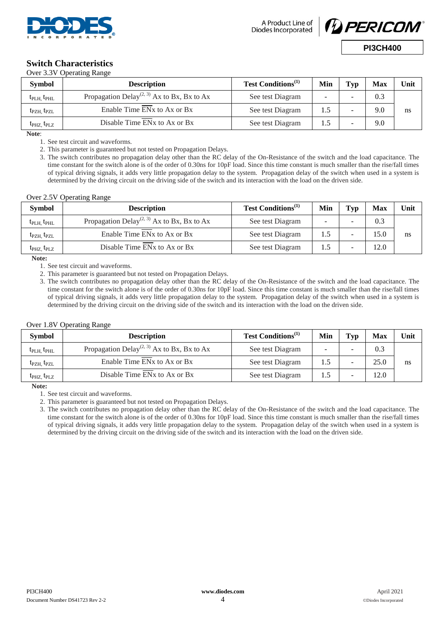



#### **Switch Characteristics**  $2.3V \Omega$

| <b>Symbol</b>                       | Over 3.3 V Operating Range<br><b>Description</b>                 | <b>Test Conditions</b> <sup>(1)</sup> | Min | Typ                      | Max | Unit |
|-------------------------------------|------------------------------------------------------------------|---------------------------------------|-----|--------------------------|-----|------|
| $t_{\rm PLH,} t_{\rm PHL}$          | Propagation Delay <sup>(2, 3)</sup> Ax to Bx, Bx to Ax           | See test Diagram                      |     |                          | 0.3 |      |
| $t_{\text{PZH}}$ , $t_{\text{PZL}}$ | Enable Time EN <sub>x</sub> to A <sub>x</sub> or B <sub>x</sub>  | See test Diagram                      |     |                          | 9.0 | ns   |
| $t_{\rm PHZ}$ , $t_{\rm P LZ}$      | Disable Time EN <sub>x</sub> to A <sub>x</sub> or B <sub>x</sub> | See test Diagram                      |     | $\overline{\phantom{0}}$ | 9.0 |      |

**Note**:

1. See test circuit and waveforms.

2. This parameter is guaranteed but not tested on Propagation Delays.

3. The switch contributes no propagation delay other than the RC delay of the On-Resistance of the switch and the load capacitance. The time constant for the switch alone is of the order of 0.30ns for 10pF load. Since this time constant is much smaller than the rise/fall times of typical driving signals, it adds very little propagation delay to the system. Propagation delay of the switch when used in a system is determined by the driving circuit on the driving side of the switch and its interaction with the load on the driven side.

#### Over 2.5V Operating Range

| <b>Symbol</b>                       | <b>Description</b>                                               | <b>Test Conditions</b> <sup>(1)</sup> | Min | <b>Typ</b> | Max              | Unit |
|-------------------------------------|------------------------------------------------------------------|---------------------------------------|-----|------------|------------------|------|
| $t_{\rm PLH}$ , $t_{\rm PHL}$       | Propagation Delay <sup>(2, 3)</sup> Ax to Bx, Bx to Ax           | See test Diagram                      |     |            | $0.\overline{3}$ |      |
| $t_{\text{PZH}}$ , $t_{\text{PZL}}$ | Enable Time EN <sub>x</sub> to A <sub>x</sub> or B <sub>x</sub>  | See test Diagram                      |     |            | 15.0             | ns   |
| $t_{\rm PHZ}$ , $t_{\rm P LZ}$      | Disable Time EN <sub>x</sub> to A <sub>x</sub> or B <sub>x</sub> | See test Diagram                      |     |            | 12.0             |      |

**Note:** 

1. See test circuit and waveforms.

2. This parameter is guaranteed but not tested on Propagation Delays.

3. The switch contributes no propagation delay other than the RC delay of the On-Resistance of the switch and the load capacitance. The time constant for the switch alone is of the order of 0.30ns for 10pF load. Since this time constant is much smaller than the rise/fall times of typical driving signals, it adds very little propagation delay to the system. Propagation delay of the switch when used in a system is determined by the driving circuit on the driving side of the switch and its interaction with the load on the driven side.

#### Over 1.8V Operating Range

| <b>Symbol</b>                       | <b>Description</b>                                               | Test Conditions <sup>(1)</sup> | Min | Typ | <b>Max</b> | Unit |
|-------------------------------------|------------------------------------------------------------------|--------------------------------|-----|-----|------------|------|
| $t_{\rm PLH}$ , $t_{\rm PHL}$       | Propagation Delay <sup>(2, 3)</sup> Ax to Bx, Bx to Ax           | See test Diagram               |     |     | 0.3        |      |
| $t_{\text{PZH}}$ , $t_{\text{PZL}}$ | Enable Time EN <sub>x</sub> to A <sub>x</sub> or B <sub>x</sub>  | See test Diagram               |     |     | 25.0       | ns   |
| $t_{\rm PHZ}$ , $t_{\rm PLZ}$       | Disable Time EN <sub>x</sub> to A <sub>x</sub> or B <sub>x</sub> | See test Diagram               |     |     | 12.0       |      |

**Note:** 

1. See test circuit and waveforms.

2. This parameter is guaranteed but not tested on Propagation Delays.

3. The switch contributes no propagation delay other than the RC delay of the On-Resistance of the switch and the load capacitance. The time constant for the switch alone is of the order of 0.30ns for 10pF load. Since this time constant is much smaller than the rise/fall times of typical driving signals, it adds very little propagation delay to the system. Propagation delay of the switch when used in a system is determined by the driving circuit on the driving side of the switch and its interaction with the load on the driven side.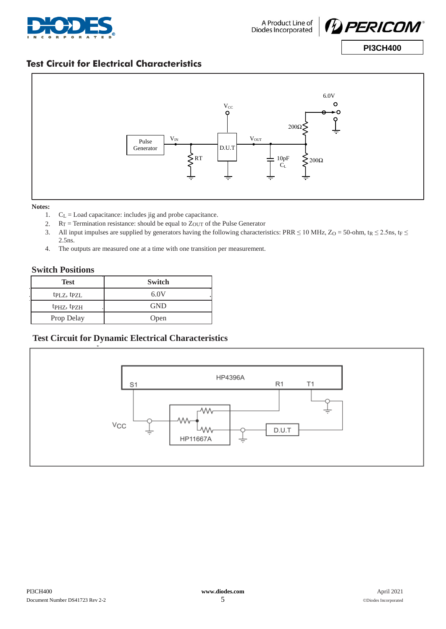



# **Test Circuit for Electrical Characteristics**



#### **Notes:**

- 1.  $C_L$  = Load capacitance: includes jig and probe capacitance.
- 2. RT = Termination resistance: should be equal to ZOUT of the Pulse Generator
- 3. All input impulses are supplied by generators having the following characteristics: PRR  $\leq$  10 MHz, Z<sub>O</sub> = 50-ohm, t<sub>R</sub>  $\leq$  2.5ns, t<sub>F</sub>  $\leq$ 2.5ns.
- 4. The outputs are measured one at a time with one transition per measurement.

### **Switch Positions**

| <b>Test</b>                         | <b>Switch</b> |
|-------------------------------------|---------------|
| tp <sub>LZ</sub> , tp <sub>ZL</sub> | 6.0V          |
| t <sub>PHZ</sub> , t <sub>PZH</sub> | <b>GND</b>    |
| Prop Delay                          | Open          |

## **Test Circuit for Dynamic Electrical Characteristics**

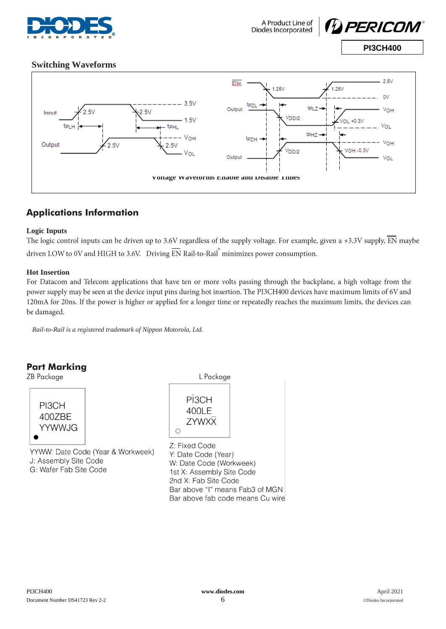



# **Switching Waveforms**



# **Applications Information**

### **Logic Inputs**

The logic control inputs can be driven up to 3.6V regardless of the supply voltage. For example, given a +3.3V supply,  $\overline{EN}$  maybe driven LOW to 0V and HIGH to 3.6V. Driving  $\overline{EN}$  Rail-to-Rail minimizes power consumption.

### **Hot Insertion**

For Datacom and Telecom applications that have ten or more volts passing through the backplane, a high voltage from the power supply may be seen at the device input pins during hot insertion. The PI3CH400 devices have maximum limits of 6V and 120mA for 20ns. If the power is higher or applied for a longer time or repeatedly reaches the maximum limits, the devices can be damaged.

*Rail-to-Rail is a registered trademark of Nippon Motorola, Ltd.*

# **Part Marking**

ZB Package L Package



YYWW: Date Code (Year & Workweek) J: Assembly Site Code G: Wafer Fab Site Code



Z: Fixed Code Y: Date Code (Year) W: Date Code (Workweek) 1st X: Assembly Site Code 2nd X: Fab Site Code Bar above "I" means Fab3 of MGN Bar above fab code means Cu wire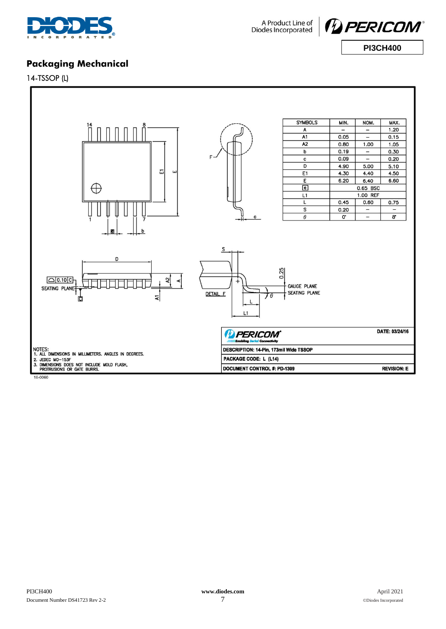



# **Packaging Mechanical**

14-TSSOP (L)



16-0060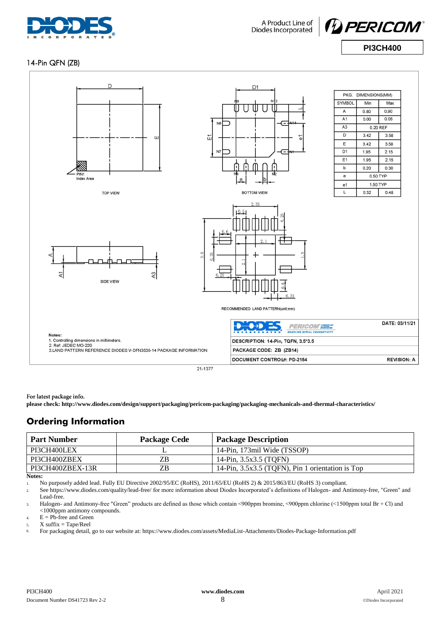



## 14-Pin QFN (ZB)



21-1377

For latest package info.

**please check: http://www.diodes.com/design/support/packaging/pericom-packaging/packaging-mechanicals-and-thermal-characteristics/**

# **Ordering Information**

| <b>Part Number</b> | <b>Package Cede</b> | <b>Package Description</b>                       |
|--------------------|---------------------|--------------------------------------------------|
| PI3CH400LEX        |                     | 14-Pin, 173mil Wide (TSSOP)                      |
| PI3CH400ZBEX       | ΖB                  | 14-Pin, 3.5x3.5 (TOFN)                           |
| PI3CH400ZBEX-13R   | ΖB                  | 14-Pin, 3.5x3.5 (TQFN), Pin 1 orientation is Top |
| Notes:             |                     |                                                  |

1. No purposely added lead. Fully EU Directive 2002/95/EC (RoHS), 2011/65/EU (RoHS 2) & 2015/863/EU (RoHS 3) compliant.

2. See<https://www.diodes.com/quality/lead-free/> for more information about Diodes Incorporated's definitions of Halogen- and Antimony-free, "Green" and Lead-free.

3. Halogen- and Antimony-free "Green" products are defined as those which contain <900ppm bromine, <900ppm chlorine (<1500ppm total Br + Cl) and <1000ppm antimony compounds.

 $4.$  E = Pb-free and Green

5.  $X \text{ suffix} = \text{Tape/Reel}$ 

6. For packaging detail, go to our website at: https://www.diodes.com/assets/MediaList-Attachments/Diodes-Package-Information.pdf